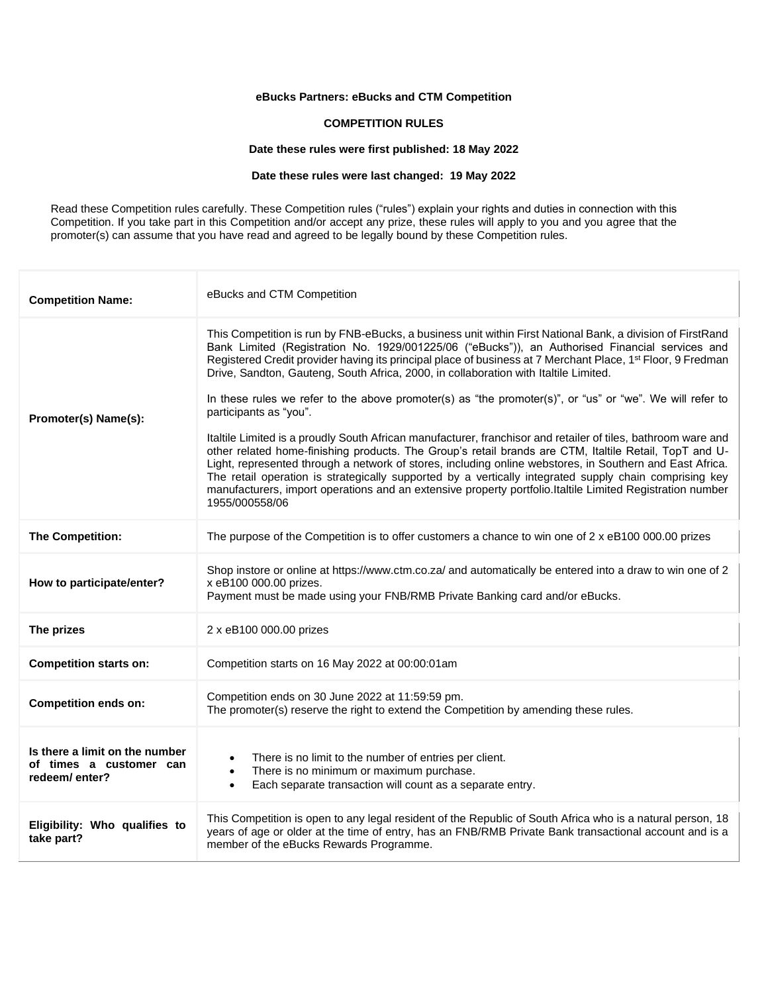# **eBucks Partners: eBucks and CTM Competition**

#### **COMPETITION RULES**

### **Date these rules were first published: 18 May 2022**

#### **Date these rules were last changed: 19 May 2022**

Read these Competition rules carefully. These Competition rules ("rules") explain your rights and duties in connection with this Competition. If you take part in this Competition and/or accept any prize, these rules will apply to you and you agree that the promoter(s) can assume that you have read and agreed to be legally bound by these Competition rules.

| <b>Competition Name:</b>                                                   | eBucks and CTM Competition                                                                                                                                                                                                                                                                                                                                                                                                                                                                                                                                                                                                                                                                                                                                                                                                                                                                                                                                                                                                                                                                                                                 |
|----------------------------------------------------------------------------|--------------------------------------------------------------------------------------------------------------------------------------------------------------------------------------------------------------------------------------------------------------------------------------------------------------------------------------------------------------------------------------------------------------------------------------------------------------------------------------------------------------------------------------------------------------------------------------------------------------------------------------------------------------------------------------------------------------------------------------------------------------------------------------------------------------------------------------------------------------------------------------------------------------------------------------------------------------------------------------------------------------------------------------------------------------------------------------------------------------------------------------------|
| Promoter(s) Name(s):                                                       | This Competition is run by FNB-eBucks, a business unit within First National Bank, a division of FirstRand<br>Bank Limited (Registration No. 1929/001225/06 ("eBucks")), an Authorised Financial services and<br>Registered Credit provider having its principal place of business at 7 Merchant Place, 1st Floor, 9 Fredman<br>Drive, Sandton, Gauteng, South Africa, 2000, in collaboration with Italtile Limited.<br>In these rules we refer to the above promoter(s) as "the promoter(s)", or "us" or "we". We will refer to<br>participants as "you".<br>Italtile Limited is a proudly South African manufacturer, franchisor and retailer of tiles, bathroom ware and<br>other related home-finishing products. The Group's retail brands are CTM, Italtile Retail, TopT and U-<br>Light, represented through a network of stores, including online webstores, in Southern and East Africa.<br>The retail operation is strategically supported by a vertically integrated supply chain comprising key<br>manufacturers, import operations and an extensive property portfolio.Italtile Limited Registration number<br>1955/000558/06 |
| The Competition:                                                           | The purpose of the Competition is to offer customers a chance to win one of 2 x eB100 000.00 prizes                                                                                                                                                                                                                                                                                                                                                                                                                                                                                                                                                                                                                                                                                                                                                                                                                                                                                                                                                                                                                                        |
| How to participate/enter?                                                  | Shop instore or online at https://www.ctm.co.za/ and automatically be entered into a draw to win one of 2<br>x eB100 000.00 prizes.<br>Payment must be made using your FNB/RMB Private Banking card and/or eBucks.                                                                                                                                                                                                                                                                                                                                                                                                                                                                                                                                                                                                                                                                                                                                                                                                                                                                                                                         |
| The prizes                                                                 | 2 x eB100 000.00 prizes                                                                                                                                                                                                                                                                                                                                                                                                                                                                                                                                                                                                                                                                                                                                                                                                                                                                                                                                                                                                                                                                                                                    |
| <b>Competition starts on:</b>                                              | Competition starts on 16 May 2022 at 00:00:01am                                                                                                                                                                                                                                                                                                                                                                                                                                                                                                                                                                                                                                                                                                                                                                                                                                                                                                                                                                                                                                                                                            |
| <b>Competition ends on:</b>                                                | Competition ends on 30 June 2022 at 11:59:59 pm.<br>The promoter(s) reserve the right to extend the Competition by amending these rules.                                                                                                                                                                                                                                                                                                                                                                                                                                                                                                                                                                                                                                                                                                                                                                                                                                                                                                                                                                                                   |
| Is there a limit on the number<br>of times a customer can<br>redeem/enter? | There is no limit to the number of entries per client.<br>There is no minimum or maximum purchase.<br>٠<br>Each separate transaction will count as a separate entry.<br>$\bullet$                                                                                                                                                                                                                                                                                                                                                                                                                                                                                                                                                                                                                                                                                                                                                                                                                                                                                                                                                          |
| Eligibility: Who qualifies to<br>take part?                                | This Competition is open to any legal resident of the Republic of South Africa who is a natural person, 18<br>years of age or older at the time of entry, has an FNB/RMB Private Bank transactional account and is a<br>member of the eBucks Rewards Programme.                                                                                                                                                                                                                                                                                                                                                                                                                                                                                                                                                                                                                                                                                                                                                                                                                                                                            |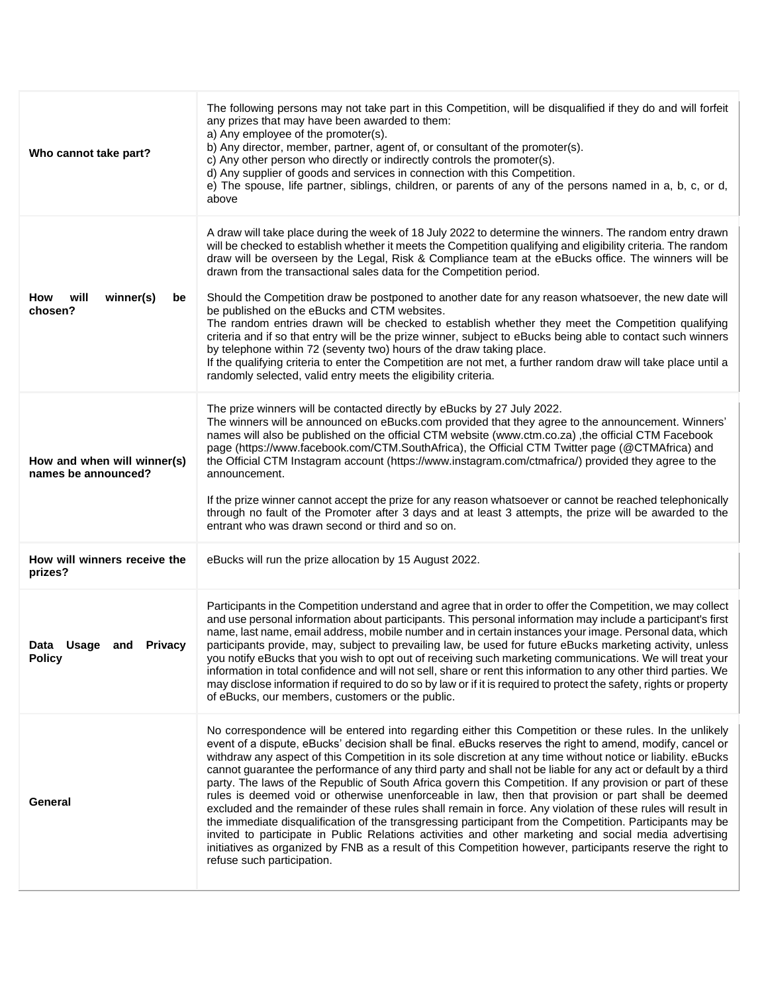| Who cannot take part?                              | The following persons may not take part in this Competition, will be disqualified if they do and will forfeit<br>any prizes that may have been awarded to them:<br>a) Any employee of the promoter(s).<br>b) Any director, member, partner, agent of, or consultant of the promoter(s).<br>c) Any other person who directly or indirectly controls the promoter(s).<br>d) Any supplier of goods and services in connection with this Competition.<br>e) The spouse, life partner, siblings, children, or parents of any of the persons named in a, b, c, or d,<br>above                                                                                                                                                                                                                                                                                                                                                                                                                                                                                                                                                                                           |
|----------------------------------------------------|-------------------------------------------------------------------------------------------------------------------------------------------------------------------------------------------------------------------------------------------------------------------------------------------------------------------------------------------------------------------------------------------------------------------------------------------------------------------------------------------------------------------------------------------------------------------------------------------------------------------------------------------------------------------------------------------------------------------------------------------------------------------------------------------------------------------------------------------------------------------------------------------------------------------------------------------------------------------------------------------------------------------------------------------------------------------------------------------------------------------------------------------------------------------|
| will<br>winner(s)<br>How<br>be<br>chosen?          | A draw will take place during the week of 18 July 2022 to determine the winners. The random entry drawn<br>will be checked to establish whether it meets the Competition qualifying and eligibility criteria. The random<br>draw will be overseen by the Legal, Risk & Compliance team at the eBucks office. The winners will be<br>drawn from the transactional sales data for the Competition period.<br>Should the Competition draw be postponed to another date for any reason whatsoever, the new date will<br>be published on the eBucks and CTM websites.<br>The random entries drawn will be checked to establish whether they meet the Competition qualifying<br>criteria and if so that entry will be the prize winner, subject to eBucks being able to contact such winners<br>by telephone within 72 (seventy two) hours of the draw taking place.<br>If the qualifying criteria to enter the Competition are not met, a further random draw will take place until a<br>randomly selected, valid entry meets the eligibility criteria.                                                                                                                |
| How and when will winner(s)<br>names be announced? | The prize winners will be contacted directly by eBucks by 27 July 2022.<br>The winners will be announced on eBucks.com provided that they agree to the announcement. Winners'<br>names will also be published on the official CTM website (www.ctm.co.za), the official CTM Facebook<br>page (https://www.facebook.com/CTM.SouthAfrica), the Official CTM Twitter page (@CTMAfrica) and<br>the Official CTM Instagram account (https://www.instagram.com/ctmafrica/) provided they agree to the<br>announcement.<br>If the prize winner cannot accept the prize for any reason whatsoever or cannot be reached telephonically<br>through no fault of the Promoter after 3 days and at least 3 attempts, the prize will be awarded to the<br>entrant who was drawn second or third and so on.                                                                                                                                                                                                                                                                                                                                                                      |
| How will winners receive the<br>prizes?            | eBucks will run the prize allocation by 15 August 2022.                                                                                                                                                                                                                                                                                                                                                                                                                                                                                                                                                                                                                                                                                                                                                                                                                                                                                                                                                                                                                                                                                                           |
| Data Usage and Privacy<br><b>Policy</b>            | Participants in the Competition understand and agree that in order to offer the Competition, we may collect<br>and use personal information about participants. This personal information may include a participant's first<br>name, last name, email address, mobile number and in certain instances your image. Personal data, which<br>participants provide, may, subject to prevailing law, be used for future eBucks marketing activity, unless<br>you notify eBucks that you wish to opt out of receiving such marketing communications. We will treat your<br>information in total confidence and will not sell, share or rent this information to any other third parties. We<br>may disclose information if required to do so by law or if it is required to protect the safety, rights or property<br>of eBucks, our members, customers or the public.                                                                                                                                                                                                                                                                                                  |
| General                                            | No correspondence will be entered into regarding either this Competition or these rules. In the unlikely<br>event of a dispute, eBucks' decision shall be final. eBucks reserves the right to amend, modify, cancel or<br>withdraw any aspect of this Competition in its sole discretion at any time without notice or liability. eBucks<br>cannot guarantee the performance of any third party and shall not be liable for any act or default by a third<br>party. The laws of the Republic of South Africa govern this Competition. If any provision or part of these<br>rules is deemed void or otherwise unenforceable in law, then that provision or part shall be deemed<br>excluded and the remainder of these rules shall remain in force. Any violation of these rules will result in<br>the immediate disqualification of the transgressing participant from the Competition. Participants may be<br>invited to participate in Public Relations activities and other marketing and social media advertising<br>initiatives as organized by FNB as a result of this Competition however, participants reserve the right to<br>refuse such participation. |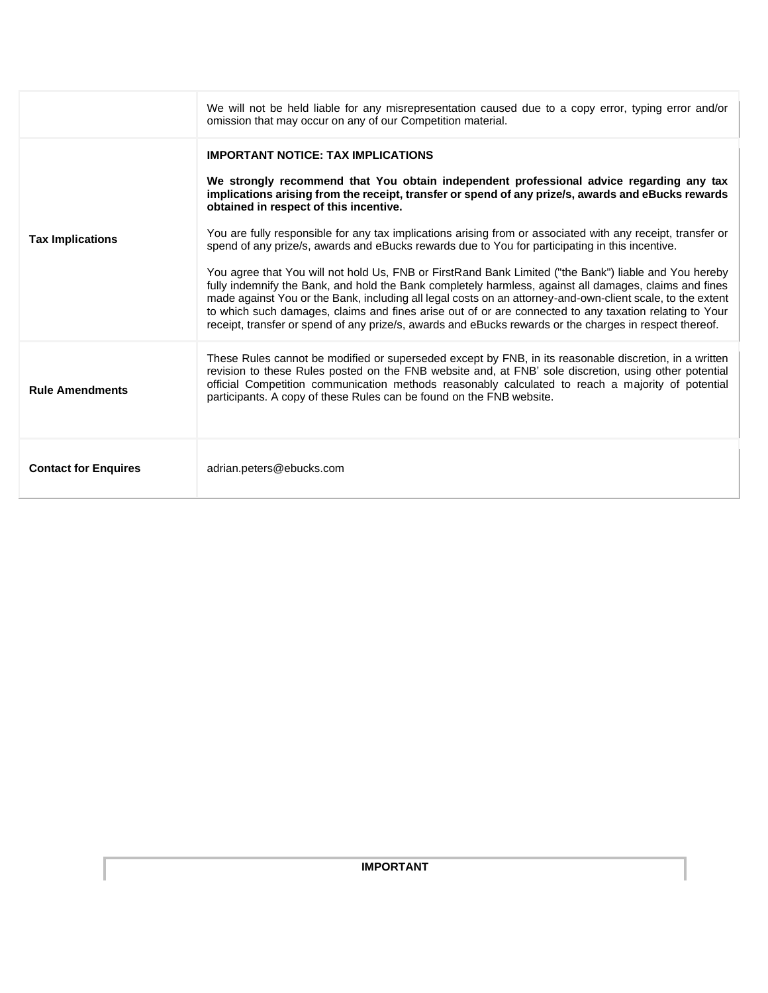|                             | We will not be held liable for any misrepresentation caused due to a copy error, typing error and/or<br>omission that may occur on any of our Competition material.                                                                                                                                                                                                                                                                                                                                                                                                                                                                                                                                                                                                                                                                                                                                                                                                                                                                                          |
|-----------------------------|--------------------------------------------------------------------------------------------------------------------------------------------------------------------------------------------------------------------------------------------------------------------------------------------------------------------------------------------------------------------------------------------------------------------------------------------------------------------------------------------------------------------------------------------------------------------------------------------------------------------------------------------------------------------------------------------------------------------------------------------------------------------------------------------------------------------------------------------------------------------------------------------------------------------------------------------------------------------------------------------------------------------------------------------------------------|
| <b>Tax Implications</b>     | <b>IMPORTANT NOTICE: TAX IMPLICATIONS</b><br>We strongly recommend that You obtain independent professional advice regarding any tax<br>implications arising from the receipt, transfer or spend of any prize/s, awards and eBucks rewards<br>obtained in respect of this incentive.<br>You are fully responsible for any tax implications arising from or associated with any receipt, transfer or<br>spend of any prize/s, awards and eBucks rewards due to You for participating in this incentive.<br>You agree that You will not hold Us, FNB or FirstRand Bank Limited ("the Bank") liable and You hereby<br>fully indemnify the Bank, and hold the Bank completely harmless, against all damages, claims and fines<br>made against You or the Bank, including all legal costs on an attorney-and-own-client scale, to the extent<br>to which such damages, claims and fines arise out of or are connected to any taxation relating to Your<br>receipt, transfer or spend of any prize/s, awards and eBucks rewards or the charges in respect thereof. |
| <b>Rule Amendments</b>      | These Rules cannot be modified or superseded except by FNB, in its reasonable discretion, in a written<br>revision to these Rules posted on the FNB website and, at FNB' sole discretion, using other potential<br>official Competition communication methods reasonably calculated to reach a majority of potential<br>participants. A copy of these Rules can be found on the FNB website.                                                                                                                                                                                                                                                                                                                                                                                                                                                                                                                                                                                                                                                                 |
| <b>Contact for Enquires</b> | adrian.peters@ebucks.com                                                                                                                                                                                                                                                                                                                                                                                                                                                                                                                                                                                                                                                                                                                                                                                                                                                                                                                                                                                                                                     |